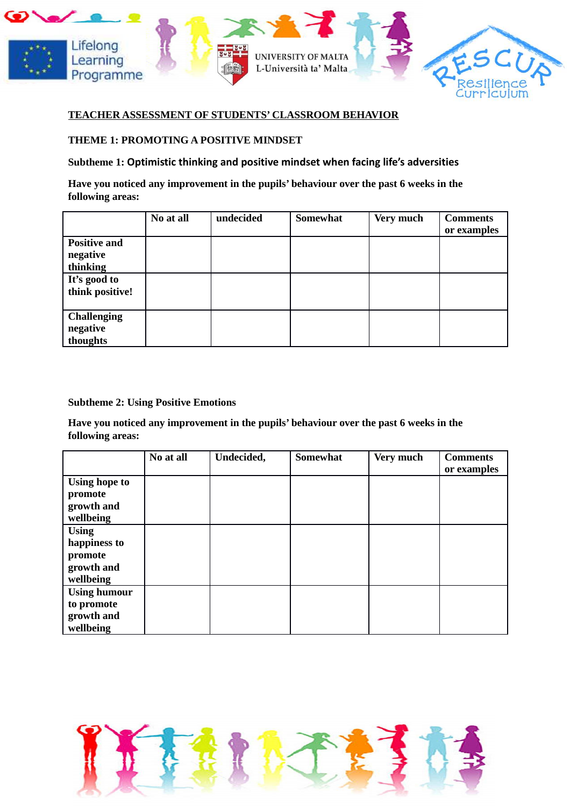



#### **TEACHER ASSESSMENT OF STUDENTS' CLASSROOM BEHAVIOR**

#### **THEME 1: PROMOTING A POSITIVE MINDSET**

#### **Subtheme 1: Optimistic thinking and positive mindset when facing life's adversities**

**Have you noticed any improvement in the pupils' behaviour over the past 6 weeks in the following areas:**

|                     | No at all | undecided | <b>Somewhat</b> | Very much | <b>Comments</b> |
|---------------------|-----------|-----------|-----------------|-----------|-----------------|
|                     |           |           |                 |           | or examples     |
| <b>Positive and</b> |           |           |                 |           |                 |
| negative            |           |           |                 |           |                 |
| thinking            |           |           |                 |           |                 |
| It's good to        |           |           |                 |           |                 |
| think positive!     |           |           |                 |           |                 |
|                     |           |           |                 |           |                 |
| <b>Challenging</b>  |           |           |                 |           |                 |
| negative            |           |           |                 |           |                 |
| thoughts            |           |           |                 |           |                 |

**Subtheme 2: Using Positive Emotions**

**Have you noticed any improvement in the pupils' behaviour over the past 6 weeks in the following areas:**

|                      | No at all | Undecided, | <b>Somewhat</b> | Very much | <b>Comments</b><br>or examples |
|----------------------|-----------|------------|-----------------|-----------|--------------------------------|
| <b>Using hope to</b> |           |            |                 |           |                                |
| promote              |           |            |                 |           |                                |
| growth and           |           |            |                 |           |                                |
| wellbeing            |           |            |                 |           |                                |
| <b>Using</b>         |           |            |                 |           |                                |
| happiness to         |           |            |                 |           |                                |
| promote              |           |            |                 |           |                                |
| growth and           |           |            |                 |           |                                |
| wellbeing            |           |            |                 |           |                                |
| <b>Using humour</b>  |           |            |                 |           |                                |
| to promote           |           |            |                 |           |                                |
| growth and           |           |            |                 |           |                                |
| wellbeing            |           |            |                 |           |                                |

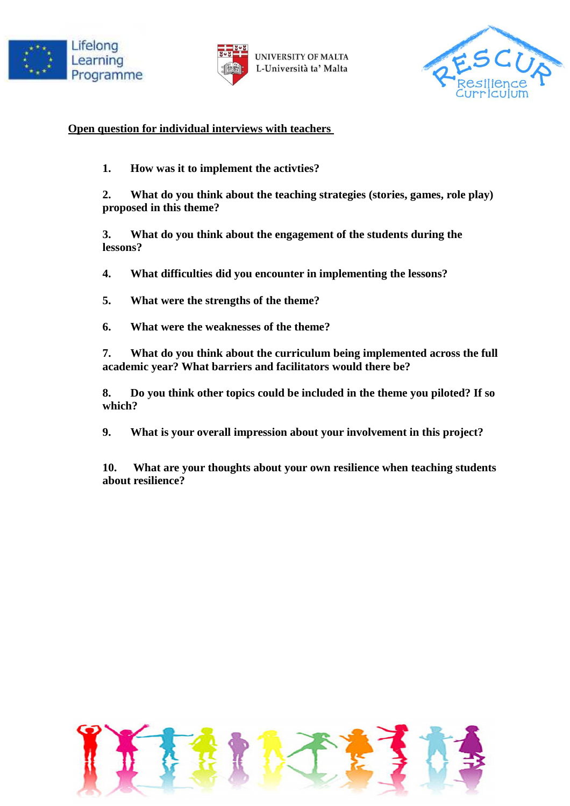



**UNIVERSITY OF MALTA** L-Università ta' Malta



### **Open question for individual interviews with teachers**

**1. How was it to implement the activties?** 

**2. What do you think about the teaching strategies (stories, games, role play) proposed in this theme?**

**3. What do you think about the engagement of the students during the lessons?**

**4. What difficulties did you encounter in implementing the lessons?**

**5. What were the strengths of the theme?**

**6. What were the weaknesses of the theme?**

**7. What do you think about the curriculum being implemented across the full academic year? What barriers and facilitators would there be?**

**8. Do you think other topics could be included in the theme you piloted? If so which?** 

**9. What is your overall impression about your involvement in this project?**

**10. What are your thoughts about your own resilience when teaching students about resilience?** 

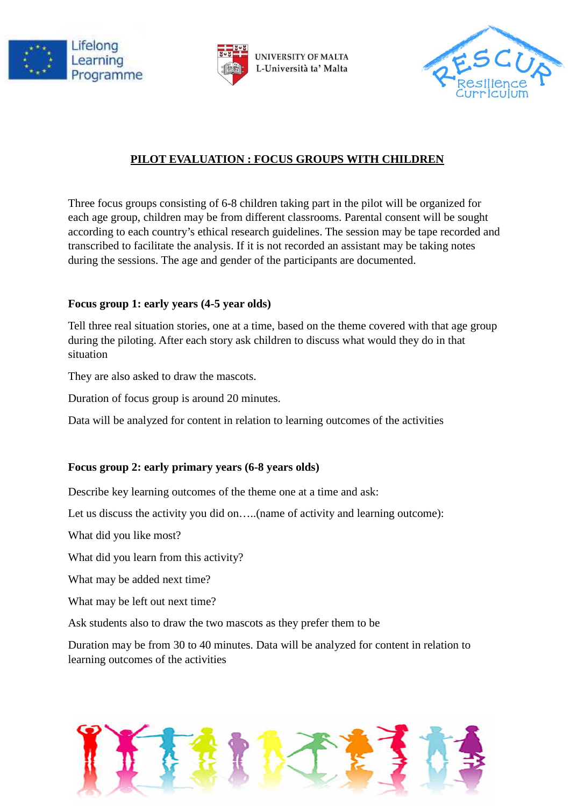





# **PILOT EVALUATION : FOCUS GROUPS WITH CHILDREN**

Three focus groups consisting of 6-8 children taking part in the pilot will be organized for each age group, children may be from different classrooms. Parental consent will be sought according to each country's ethical research guidelines. The session may be tape recorded and transcribed to facilitate the analysis. If it is not recorded an assistant may be taking notes during the sessions. The age and gender of the participants are documented.

### **Focus group 1: early years (4-5 year olds)**

Tell three real situation stories, one at a time, based on the theme covered with that age group during the piloting. After each story ask children to discuss what would they do in that situation

They are also asked to draw the mascots.

Duration of focus group is around 20 minutes.

Data will be analyzed for content in relation to learning outcomes of the activities

### **Focus group 2: early primary years (6-8 years olds)**

Describe key learning outcomes of the theme one at a time and ask:

Let us discuss the activity you did on.....(name of activity and learning outcome):

What did you like most?

What did you learn from this activity?

What may be added next time?

What may be left out next time?

Ask students also to draw the two mascots as they prefer them to be

Duration may be from 30 to 40 minutes. Data will be analyzed for content in relation to learning outcomes of the activities

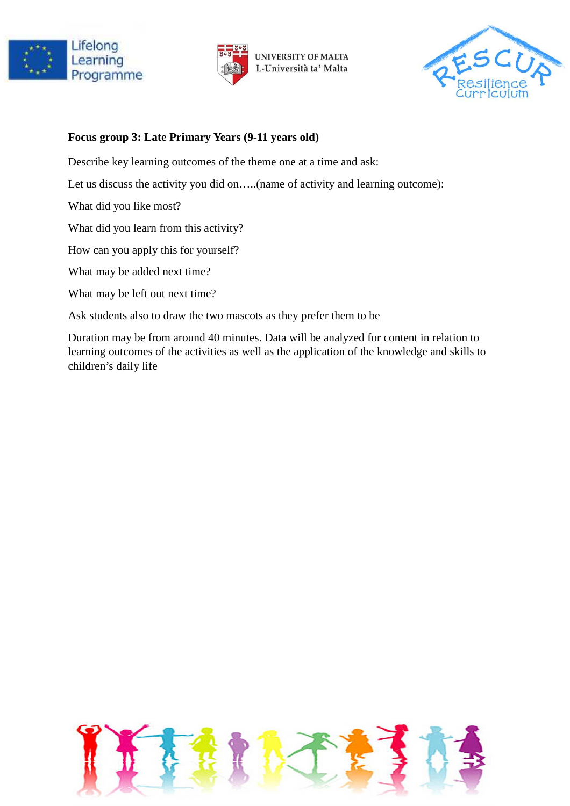



**UNIVERSITY OF MALTA** L-Università ta' Malta



## **Focus group 3: Late Primary Years (9-11 years old)**

Describe key learning outcomes of the theme one at a time and ask:

Let us discuss the activity you did on.....(name of activity and learning outcome):

What did you like most?

What did you learn from this activity?

How can you apply this for yourself?

What may be added next time?

What may be left out next time?

Ask students also to draw the two mascots as they prefer them to be

Duration may be from around 40 minutes. Data will be analyzed for content in relation to learning outcomes of the activities as well as the application of the knowledge and skills to children's daily life